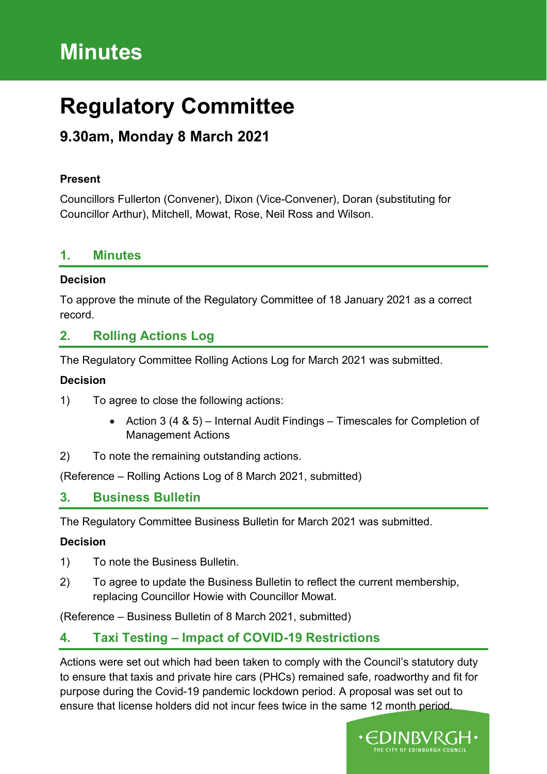# **Minutes**

# **Regulatory Committee**

# **9.30am, Monday 8 March 2021**

#### **Present**

Councillors Fullerton (Convener), Dixon (Vice-Convener), Doran (substituting for Councillor Arthur), Mitchell, Mowat, Rose, Neil Ross and Wilson.

#### **1. Minutes**

#### **Decision**

To approve the minute of the Regulatory Committee of 18 January 2021 as a correct record.

## **2. Rolling Actions Log**

The Regulatory Committee Rolling Actions Log for March 2021 was submitted.

#### **Decision**

- 1) To agree to close the following actions:
	- Action 3 (4 & 5) Internal Audit Findings Timescales for Completion of Management Actions
- 2) To note the remaining outstanding actions.

(Reference – Rolling Actions Log of 8 March 2021, submitted)

### **3. Business Bulletin**

The Regulatory Committee Business Bulletin for March 2021 was submitted.

#### **Decision**

- 1) To note the Business Bulletin.
- 2) To agree to update the Business Bulletin to reflect the current membership, replacing Councillor Howie with Councillor Mowat.

(Reference – Business Bulletin of 8 March 2021, submitted)

# **4. Taxi Testing – Impact of COVID-19 Restrictions**

Actions were set out which had been taken to comply with the Council's statutory duty to ensure that taxis and private hire cars (PHCs) remained safe, roadworthy and fit for purpose during the Covid-19 pandemic lockdown period. A proposal was set out to ensure that license holders did not incur fees twice in the same 12 month period.

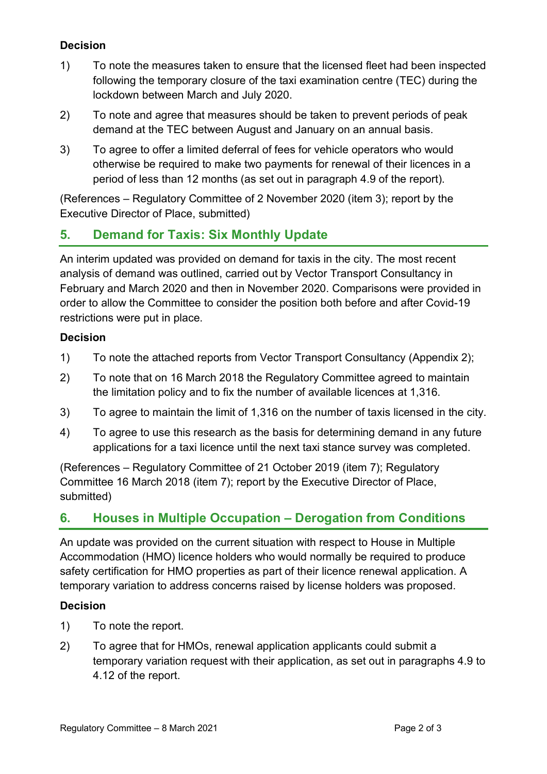## **Decision**

- 1) To note the measures taken to ensure that the licensed fleet had been inspected following the temporary closure of the taxi examination centre (TEC) during the lockdown between March and July 2020.
- 2) To note and agree that measures should be taken to prevent periods of peak demand at the TEC between August and January on an annual basis.
- 3) To agree to offer a limited deferral of fees for vehicle operators who would otherwise be required to make two payments for renewal of their licences in a period of less than 12 months (as set out in paragraph 4.9 of the report).

(References – Regulatory Committee of 2 November 2020 (item 3); report by the Executive Director of Place, submitted)

# **5. Demand for Taxis: Six Monthly Update**

An interim updated was provided on demand for taxis in the city. The most recent analysis of demand was outlined, carried out by Vector Transport Consultancy in February and March 2020 and then in November 2020. Comparisons were provided in order to allow the Committee to consider the position both before and after Covid-19 restrictions were put in place.

#### **Decision**

- 1) To note the attached reports from Vector Transport Consultancy (Appendix 2);
- 2) To note that on 16 March 2018 the Regulatory Committee agreed to maintain the limitation policy and to fix the number of available licences at 1,316.
- 3) To agree to maintain the limit of 1,316 on the number of taxis licensed in the city.
- 4) To agree to use this research as the basis for determining demand in any future applications for a taxi licence until the next taxi stance survey was completed.

(References – Regulatory Committee of 21 October 2019 (item 7); Regulatory Committee 16 March 2018 (item 7); report by the Executive Director of Place, submitted)

# **6. Houses in Multiple Occupation – Derogation from Conditions**

An update was provided on the current situation with respect to House in Multiple Accommodation (HMO) licence holders who would normally be required to produce safety certification for HMO properties as part of their licence renewal application. A temporary variation to address concerns raised by license holders was proposed.

### **Decision**

- 1) To note the report.
- 2) To agree that for HMOs, renewal application applicants could submit a temporary variation request with their application, as set out in paragraphs 4.9 to 4.12 of the report.